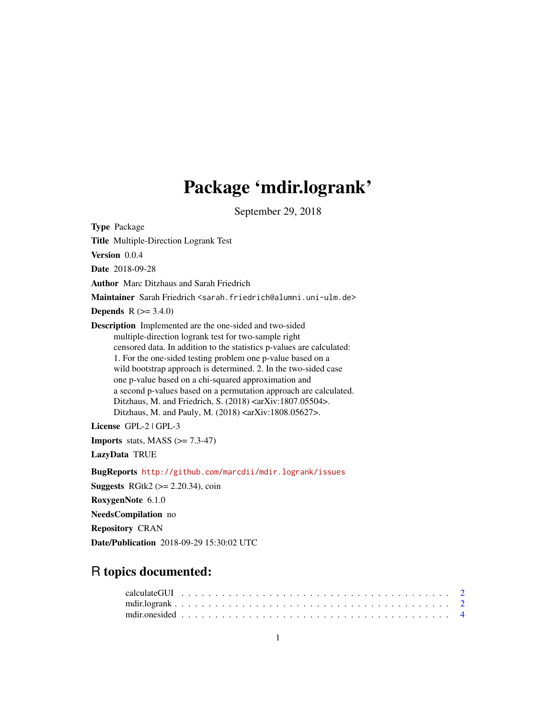# Package 'mdir.logrank'

September 29, 2018

Type Package

Title Multiple-Direction Logrank Test

Version 0.0.4

Date 2018-09-28

Author Marc Ditzhaus and Sarah Friedrich

Maintainer Sarah Friedrich <sarah.friedrich@alumni.uni-ulm.de>

**Depends**  $R (= 3.4.0)$ 

Description Implemented are the one-sided and two-sided multiple-direction logrank test for two-sample right censored data. In addition to the statistics p-values are calculated: 1. For the one-sided testing problem one p-value based on a wild bootstrap approach is determined. 2. In the two-sided case one p-value based on a chi-squared approximation and a second p-values based on a permutation approach are calculated. Ditzhaus, M. and Friedrich, S. (2018) <arXiv:1807.05504>. Ditzhaus, M. and Pauly, M. (2018) <arXiv:1808.05627>.

License GPL-2 | GPL-3

**Imports** stats, MASS  $(>= 7.3-47)$ 

LazyData TRUE

BugReports <http://github.com/marcdii/mdir.logrank/issues>

**Suggests** RGtk2 ( $>= 2.20.34$ ), coin

RoxygenNote 6.1.0

NeedsCompilation no

Repository CRAN

Date/Publication 2018-09-29 15:30:02 UTC

## R topics documented: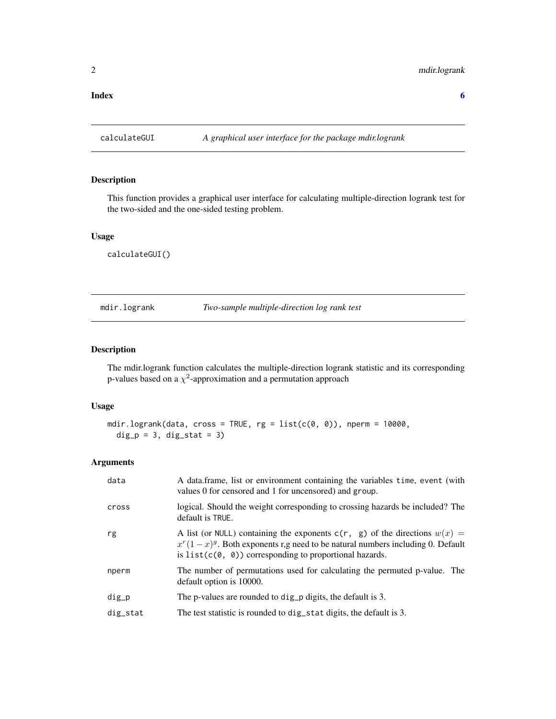#### <span id="page-1-0"></span>**Index** [6](#page-5-0) **6**

#### Description

This function provides a graphical user interface for calculating multiple-direction logrank test for the two-sided and the one-sided testing problem.

#### Usage

calculateGUI()

### mdir.logrank *Two-sample multiple-direction log rank test*

#### Description

The mdir.logrank function calculates the multiple-direction logrank statistic and its corresponding p-values based on a  $\chi^2$ -approximation and a permutation approach

#### Usage

```
mdir.logrank(data, cross = TRUE, rg = list(c(\theta, \theta)), nperm = 10000,
  dig_p = 3, dig_{stat} = 3
```
#### Arguments

| data     | A data.frame, list or environment containing the variables time, event (with<br>values 0 for censored and 1 for uncensored) and group.                                                                                               |
|----------|--------------------------------------------------------------------------------------------------------------------------------------------------------------------------------------------------------------------------------------|
| cross    | logical. Should the weight corresponding to crossing hazards be included? The<br>default is TRUE.                                                                                                                                    |
| rg       | A list (or NULL) containing the exponents $c(r, g)$ of the directions $w(x) =$<br>$x^{r}(1-x)^{g}$ . Both exponents r,g need to be natural numbers including 0. Default<br>is $list(c(0, 0))$ corresponding to proportional hazards. |
| nperm    | The number of permutations used for calculating the permuted p-value. The<br>default option is 10000.                                                                                                                                |
| dig_p    | The p-values are rounded to dig_p digits, the default is 3.                                                                                                                                                                          |
| dig_stat | The test statistic is rounded to dig_stat digits, the default is 3.                                                                                                                                                                  |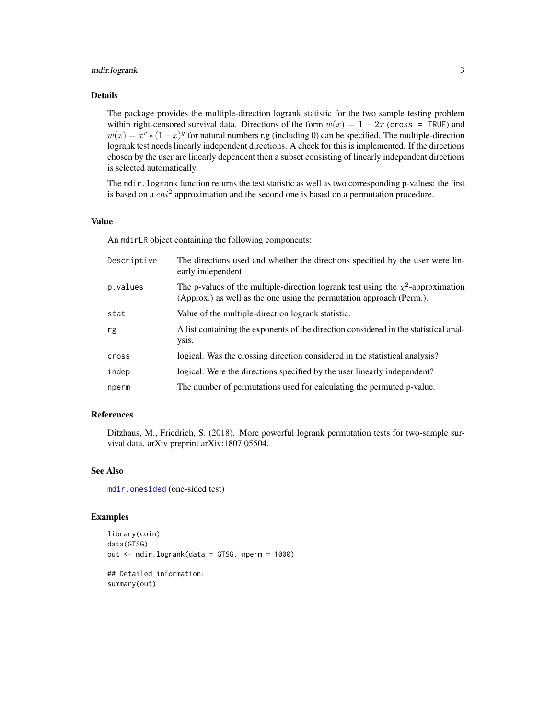#### <span id="page-2-0"></span>mdir.logrank 3

#### Details

The package provides the multiple-direction logrank statistic for the two sample testing problem within right-censored survival data. Directions of the form  $w(x) = 1 - 2x$  (cross = TRUE) and  $w(x) = x^r * (1-x)^g$  for natural numbers r,g (including 0) can be specified. The multiple-direction logrank test needs linearly independent directions. A check for this is implemented. If the directions chosen by the user are linearly dependent then a subset consisting of linearly independent directions is selected automatically.

The mdir.logrank function returns the test statistic as well as two corresponding p-values: the first is based on a  $chi^2$  approximation and the second one is based on a permutation procedure.

#### Value

An mdirLR object containing the following components:

| Descriptive | The directions used and whether the directions specified by the user were lin-<br>early independent.                                                          |
|-------------|---------------------------------------------------------------------------------------------------------------------------------------------------------------|
| p.values    | The p-values of the multiple-direction logrank test using the $\chi^2$ -approximation<br>(Approx.) as well as the one using the permutation approach (Perm.). |
| stat        | Value of the multiple-direction logrank statistic.                                                                                                            |
| rg          | A list containing the exponents of the direction considered in the statistical anal-<br>ysis.                                                                 |
| cross       | logical. Was the crossing direction considered in the statistical analysis?                                                                                   |
| indep       | logical. Were the directions specified by the user linearly independent?                                                                                      |
| nperm       | The number of permutations used for calculating the permuted p-value.                                                                                         |
|             |                                                                                                                                                               |

#### References

Ditzhaus, M., Friedrich, S. (2018). More powerful logrank permutation tests for two-sample survival data. arXiv preprint arXiv:1807.05504.

#### See Also

[mdir.onesided](#page-3-1) (one-sided test)

#### Examples

```
library(coin)
data(GTSG)
out <- mdir.logrank(data = GTSG, nperm = 1000)
## Detailed information:
summary(out)
```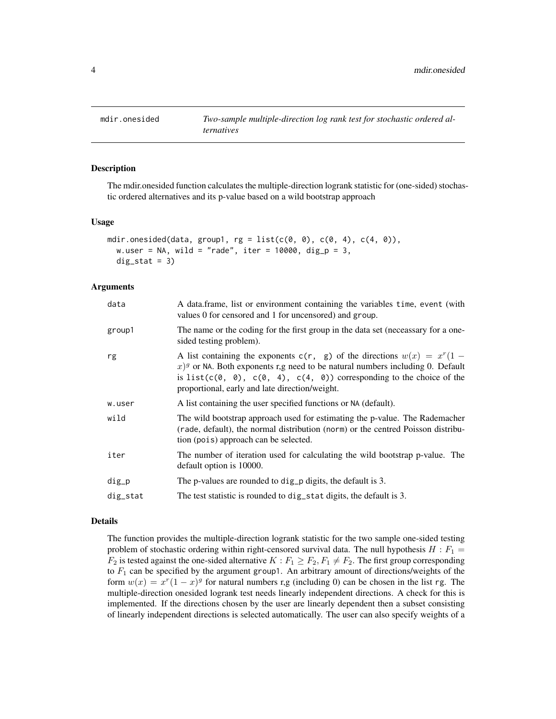<span id="page-3-1"></span><span id="page-3-0"></span>

#### **Description**

The mdir.onesided function calculates the multiple-direction logrank statistic for (one-sided) stochastic ordered alternatives and its p-value based on a wild bootstrap approach

#### Usage

```
mdir.onesided(data, group1, rg = list(c(0, 0), c(0, 4), c(4, 0)),w.user = NA, wild = "rade", iter = 10000, dig_p = 3,
  dig<sub>stat</sub> = 3)
```
#### **Arguments**

| data     | A data frame, list or environment containing the variables time, event (with<br>values 0 for censored and 1 for uncensored) and group.                                                                                                                                                                                                              |
|----------|-----------------------------------------------------------------------------------------------------------------------------------------------------------------------------------------------------------------------------------------------------------------------------------------------------------------------------------------------------|
| group1   | The name or the coding for the first group in the data set (necessary for a one-<br>sided testing problem).                                                                                                                                                                                                                                         |
| rg       | A list containing the exponents $c(r, g)$ of the directions $w(x) = x^{r}(1 -$<br>$(x)$ <sup>g</sup> or NA. Both exponents r,g need to be natural numbers including 0. Default<br>is list( $c(\emptyset, \emptyset)$ , $c(\emptyset, 4)$ , $c(4, \emptyset)$ ) corresponding to the choice of the<br>proportional, early and late direction/weight. |
| w.user   | A list containing the user specified functions or NA (default).                                                                                                                                                                                                                                                                                     |
| wild     | The wild bootstrap approach used for estimating the p-value. The Rademacher<br>(rade, default), the normal distribution (norm) or the centred Poisson distribu-<br>tion (pois) approach can be selected.                                                                                                                                            |
| iter     | The number of iteration used for calculating the wild bootstrap p-value. The<br>default option is 10000.                                                                                                                                                                                                                                            |
| dig_p    | The p-values are rounded to dig_p digits, the default is 3.                                                                                                                                                                                                                                                                                         |
| dig_stat | The test statistic is rounded to dig_stat digits, the default is 3.                                                                                                                                                                                                                                                                                 |

#### Details

The function provides the multiple-direction logrank statistic for the two sample one-sided testing problem of stochastic ordering within right-censored survival data. The null hypothesis  $H : F_1 =$  $F_2$  is tested against the one-sided alternative  $K : F_1 \geq F_2, F_1 \neq F_2$ . The first group corresponding to  $F_1$  can be specified by the argument group1. An arbitrary amount of directions/weights of the form  $w(x) = x^r(1-x)^g$  for natural numbers r,g (including 0) can be chosen in the list rg. The multiple-direction onesided logrank test needs linearly independent directions. A check for this is implemented. If the directions chosen by the user are linearly dependent then a subset consisting of linearly independent directions is selected automatically. The user can also specify weights of a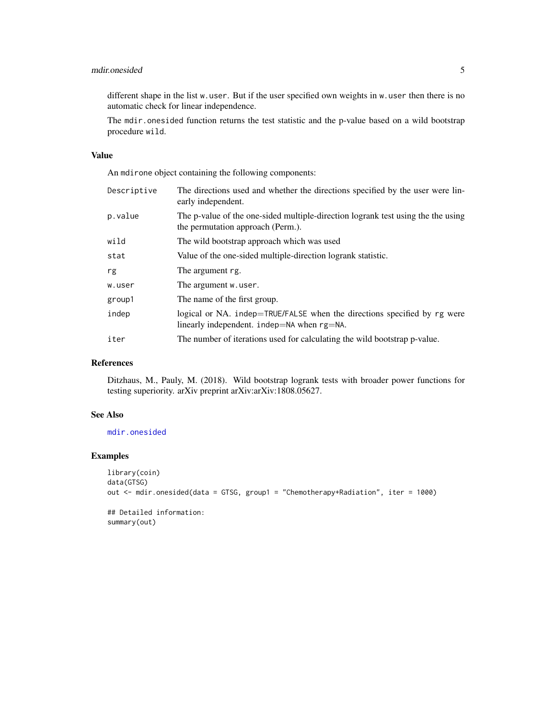#### <span id="page-4-0"></span>mdir.onesided 5

different shape in the list w.user. But if the user specified own weights in w.user then there is no automatic check for linear independence.

The mdir.onesided function returns the test statistic and the p-value based on a wild bootstrap procedure wild.

#### Value

An mdirone object containing the following components:

| Descriptive | The directions used and whether the directions specified by the user were lin-<br>early independent.                         |
|-------------|------------------------------------------------------------------------------------------------------------------------------|
| p.value     | The p-value of the one-sided multiple-direction logrank test using the the using<br>the permutation approach (Perm.).        |
| wild        | The wild bootstrap approach which was used                                                                                   |
| stat        | Value of the one-sided multiple-direction logrank statistic.                                                                 |
| rg          | The argument rg.                                                                                                             |
| w.user      | The argument w.user.                                                                                                         |
| group1      | The name of the first group.                                                                                                 |
| indep       | logical or NA. indep=TRUE/FALSE when the directions specified by rg were<br>linearly independent. indep= $NA$ when $rg=NA$ . |
| iter        | The number of iterations used for calculating the wild bootstrap p-value.                                                    |

#### References

Ditzhaus, M., Pauly, M. (2018). Wild bootstrap logrank tests with broader power functions for testing superiority. arXiv preprint arXiv:arXiv:1808.05627.

#### See Also

[mdir.onesided](#page-3-1)

#### Examples

```
library(coin)
data(GTSG)
out <- mdir.onesided(data = GTSG, group1 = "Chemotherapy+Radiation", iter = 1000)
## Detailed information:
```
summary(out)